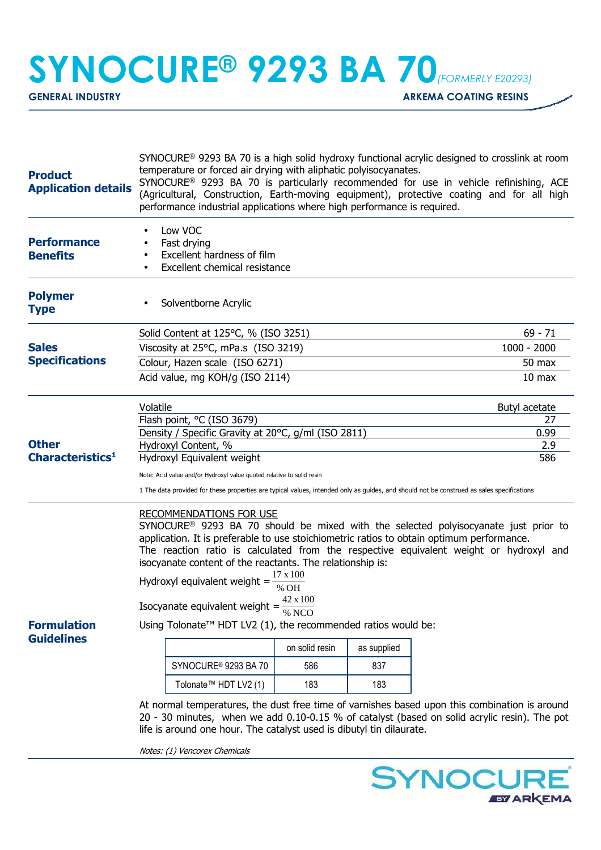## **SYNOCURE® 9293 BA 70***(FORMERLY E20293)*

**GENERAL INDUSTRY GENERAL INDUSTRY ARKEMA COATING RESINS** 

| <b>Product</b><br><b>Application details</b> | SYNOCURE <sup>®</sup> 9293 BA 70 is a high solid hydroxy functional acrylic designed to crosslink at room<br>temperature or forced air drying with aliphatic polyisocyanates.<br>SYNOCURE <sup>®</sup> 9293 BA 70 is particularly recommended for use in vehicle refinishing, ACE<br>(Agricultural, Construction, Earth-moving equipment), protective coating and for all high<br>performance industrial applications where high performance is required.                                                                                                                                                                                    |                   |     |               |  |
|----------------------------------------------|----------------------------------------------------------------------------------------------------------------------------------------------------------------------------------------------------------------------------------------------------------------------------------------------------------------------------------------------------------------------------------------------------------------------------------------------------------------------------------------------------------------------------------------------------------------------------------------------------------------------------------------------|-------------------|-----|---------------|--|
| <b>Performance</b><br><b>Benefits</b>        | Low VOC<br>Fast drying<br>Excellent hardness of film<br>Excellent chemical resistance                                                                                                                                                                                                                                                                                                                                                                                                                                                                                                                                                        |                   |     |               |  |
| <b>Polymer</b><br><b>Type</b>                | Solventborne Acrylic                                                                                                                                                                                                                                                                                                                                                                                                                                                                                                                                                                                                                         |                   |     |               |  |
|                                              | Solid Content at 125°C, % (ISO 3251)                                                                                                                                                                                                                                                                                                                                                                                                                                                                                                                                                                                                         |                   |     | $69 - 71$     |  |
| <b>Sales</b><br><b>Specifications</b>        | Viscosity at 25°C, mPa.s (ISO 3219)                                                                                                                                                                                                                                                                                                                                                                                                                                                                                                                                                                                                          | $1000 - 2000$     |     |               |  |
|                                              | Colour, Hazen scale (ISO 6271)                                                                                                                                                                                                                                                                                                                                                                                                                                                                                                                                                                                                               | 50 max            |     |               |  |
|                                              | Acid value, mg KOH/g (ISO 2114)                                                                                                                                                                                                                                                                                                                                                                                                                                                                                                                                                                                                              | 10 <sub>max</sub> |     |               |  |
|                                              | Volatile                                                                                                                                                                                                                                                                                                                                                                                                                                                                                                                                                                                                                                     |                   |     | Butyl acetate |  |
|                                              | Flash point, °C (ISO 3679)                                                                                                                                                                                                                                                                                                                                                                                                                                                                                                                                                                                                                   | 27                |     |               |  |
|                                              | Density / Specific Gravity at 20°C, g/ml (ISO 2811)                                                                                                                                                                                                                                                                                                                                                                                                                                                                                                                                                                                          | 0.99              |     |               |  |
| <b>Other</b><br>Characteristics <sup>1</sup> | Hydroxyl Content, %<br>Hydroxyl Equivalent weight                                                                                                                                                                                                                                                                                                                                                                                                                                                                                                                                                                                            | 2.9<br>586        |     |               |  |
|                                              |                                                                                                                                                                                                                                                                                                                                                                                                                                                                                                                                                                                                                                              |                   |     |               |  |
|                                              | Note: Acid value and/or Hydroxyl value quoted relative to solid resin<br>1 The data provided for these properties are typical values, intended only as guides, and should not be construed as sales specifications                                                                                                                                                                                                                                                                                                                                                                                                                           |                   |     |               |  |
| <b>Formulation</b><br><b>Guidelines</b>      | <b>RECOMMENDATIONS FOR USE</b><br>SYNOCURE <sup>®</sup> 9293 BA 70 should be mixed with the selected polyisocyanate just prior to<br>application. It is preferable to use stoichiometric ratios to obtain optimum performance.<br>The reaction ratio is calculated from the respective equivalent weight or hydroxyl and<br>isocyanate content of the reactants. The relationship is:<br>$17 \times 100$<br>Hydroxyl equivalent weight $=$<br>% OH<br>42 x 100<br>Isocyanate equivalent weight = $\frac{42 \text{ A 100}}{\% \text{ NCO}}$<br>Using Tolonate™ HDT LV2 (1), the recommended ratios would be:<br>on solid resin<br>as supplied |                   |     |               |  |
|                                              | SYNOCURE <sup>®</sup> 9293 BA 70                                                                                                                                                                                                                                                                                                                                                                                                                                                                                                                                                                                                             | 586               | 837 |               |  |
|                                              | Tolonate™ HDT LV2 (1)                                                                                                                                                                                                                                                                                                                                                                                                                                                                                                                                                                                                                        | 183               | 183 |               |  |
|                                              | At normal temperatures, the dust free time of varnishes based upon this combination is around<br>20 - 30 minutes, when we add 0.10-0.15 % of catalyst (based on solid acrylic resin). The pot<br>life is around one hour. The catalyst used is dibutyl tin dilaurate.                                                                                                                                                                                                                                                                                                                                                                        |                   |     |               |  |

Notes: (1) Vencorex Chemicals